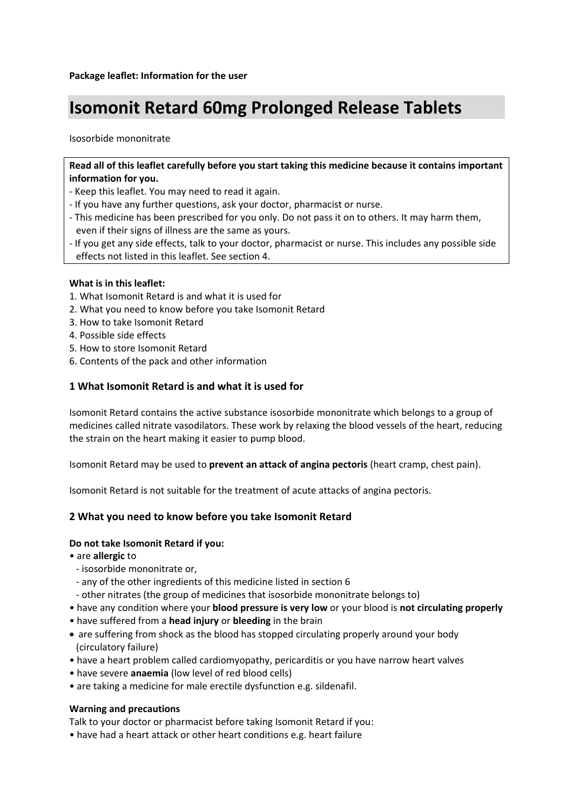# **Isomonit Retard 60mg Prolonged Release Tablets**

Isosorbide mononitrate

**Read all of this leaflet carefully before you start taking this medicine because it contains important information for you.**

- Keep this leaflet. You may need to read it again.
- If you have any further questions, ask your doctor, pharmacist or nurse.
- This medicine has been prescribed for you only. Do not pass it on to others. It may harm them, even if their signs of illness are the same as yours.
- If you get any side effects, talk to your doctor, pharmacist or nurse. This includes any possible side effects not listed in this leaflet. See section 4.

#### **What is in this leaflet:**

- 1. What Isomonit Retard is and what it is used for
- 2. What you need to know before you take Isomonit Retard
- 3. How to take Isomonit Retard
- 4. Possible side effects
- 5. How to store Isomonit Retard
- 6. Contents of the pack and other information

## **1 What Isomonit Retard is and what it is used for**

Isomonit Retard contains the active substance isosorbide mononitrate which belongs to a group of medicines called nitrate vasodilators. These work by relaxing the blood vessels of the heart, reducing the strain on the heart making it easier to pump blood.

Isomonit Retard may be used to **prevent an attack of angina pectoris** (heart cramp, chest pain).

Isomonit Retard is not suitable for the treatment of acute attacks of angina pectoris.

## **2 What you need to know before you take Isomonit Retard**

#### **Do not take Isomonit Retard if you:**

• are **allergic** to

- isosorbide mononitrate or,
- any of the other ingredients of this medicine listed in section 6
- other nitrates (the group of medicines that isosorbide mononitrate belongs to)
- have any condition where your **blood pressure is very low** or your blood is **not circulating properly**
- have suffered from a **head injury** or **bleeding** in the brain
- are suffering from shock as the blood has stopped circulating properly around your body (circulatory failure)
- have a heart problem called cardiomyopathy, pericarditis or you have narrow heart valves
- have severe **anaemia** (low level of red blood cells)
- are taking a medicine for male erectile dysfunction e.g. sildenafil.

#### **Warning and precautions**

Talk to your doctor or pharmacist before taking Isomonit Retard if you:

• have had a heart attack or other heart conditions e.g. heart failure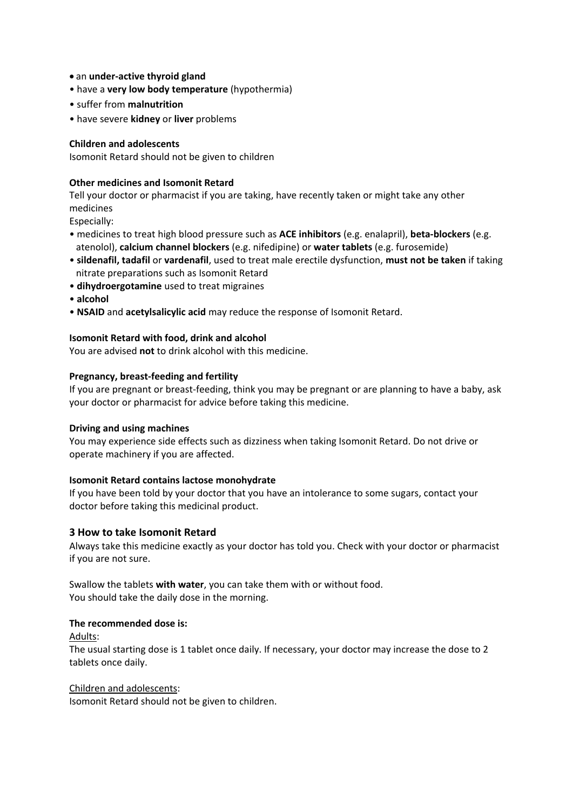- an **under-active thyroid gland**
- have a **very low body temperature** (hypothermia)
- suffer from **malnutrition**
- have severe **kidney** or **liver** problems

## **Children and adolescents**

Isomonit Retard should not be given to children

## **Other medicines and Isomonit Retard**

Tell your doctor or pharmacist if you are taking, have recently taken or might take any other medicines

Especially:

- medicines to treat high blood pressure such as **ACE inhibitors** (e.g. enalapril), **beta-blockers** (e.g. atenolol), **calcium channel blockers** (e.g. nifedipine) or **water tablets** (e.g. furosemide)
- **sildenafil, tadafil** or **vardenafil**, used to treat male erectile dysfunction, **must not be taken** if taking nitrate preparations such as Isomonit Retard
- **dihydroergotamine** used to treat migraines
- **alcohol**
- **NSAID** and **acetylsalicylic acid** may reduce the response of Isomonit Retard.

## **Isomonit Retard with food, drink and alcohol**

You are advised **not** to drink alcohol with this medicine.

## **Pregnancy, breast-feeding and fertility**

If you are pregnant or breast-feeding, think you may be pregnant or are planning to have a baby, ask your doctor or pharmacist for advice before taking this medicine.

#### **Driving and using machines**

You may experience side effects such as dizziness when taking Isomonit Retard. Do not drive or operate machinery if you are affected.

#### **Isomonit Retard contains lactose monohydrate**

If you have been told by your doctor that you have an intolerance to some sugars, contact your doctor before taking this medicinal product.

## **3 How to take Isomonit Retard**

Always take this medicine exactly as your doctor has told you. Check with your doctor or pharmacist if you are not sure.

Swallow the tablets **with water**, you can take them with or without food. You should take the daily dose in the morning.

# **The recommended dose is:**

Adults:

The usual starting dose is 1 tablet once daily. If necessary, your doctor may increase the dose to 2 tablets once daily.

#### Children and adolescents:

Isomonit Retard should not be given to children.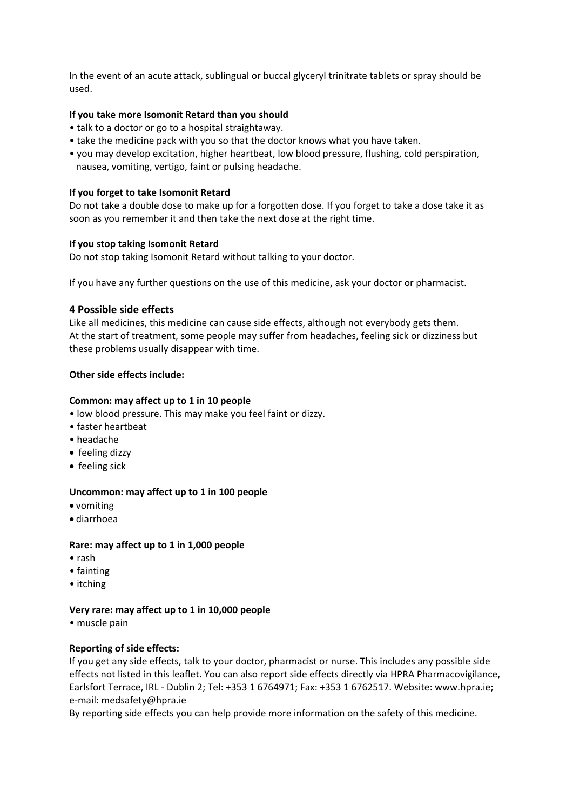In the event of an acute attack, sublingual or buccal glyceryl trinitrate tablets or spray should be used.

## **If you take more Isomonit Retard than you should**

- talk to a doctor or go to a hospital straightaway.
- take the medicine pack with you so that the doctor knows what you have taken.
- you may develop excitation, higher heartbeat, low blood pressure, flushing, cold perspiration, nausea, vomiting, vertigo, faint or pulsing headache.

#### **If you forget to take Isomonit Retard**

Do not take a double dose to make up for a forgotten dose. If you forget to take a dose take it as soon as you remember it and then take the next dose at the right time.

#### **If you stop taking Isomonit Retard**

Do not stop taking Isomonit Retard without talking to your doctor.

If you have any further questions on the use of this medicine, ask your doctor or pharmacist.

## **4 Possible side effects**

Like all medicines, this medicine can cause side effects, although not everybody gets them. At the start of treatment, some people may suffer from headaches, feeling sick or dizziness but these problems usually disappear with time.

## **Other side effects include:**

## **Common: may affect up to 1 in 10 people**

- low blood pressure. This may make you feel faint or dizzy.
- faster heartbeat
- headache
- feeling dizzy
- feeling sick

#### **Uncommon: may affect up to 1 in 100 people**

- vomiting
- diarrhoea

#### **Rare: may affect up to 1 in 1,000 people**

- rash
- fainting
- itching

#### **Very rare: may affect up to 1 in 10,000 people**

• muscle pain

#### **Reporting of side effects:**

If you get any side effects, talk to your doctor, pharmacist or nurse. This includes any possible side effects not listed in this leaflet. You can also report side effects directly via HPRA Pharmacovigilance, Earlsfort Terrace, IRL - Dublin 2; Tel: +353 1 6764971; Fax: +353 1 6762517. Website: www.hpra.ie; e-mail: medsafety@hpra.ie

By reporting side effects you can help provide more information on the safety of this medicine.